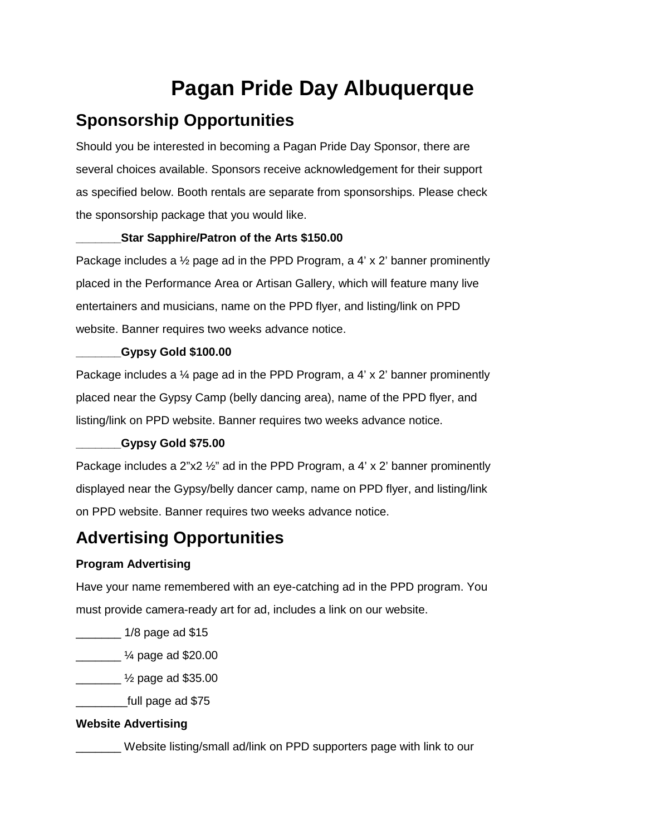# **Pagan Pride Day Albuquerque**

## **Sponsorship Opportunities**

Should you be interested in becoming a Pagan Pride Day Sponsor, there are several choices available. Sponsors receive acknowledgement for their support as specified below. Booth rentals are separate from sponsorships. Please check the sponsorship package that you would like.

#### **\_\_\_\_\_\_\_Star Sapphire/Patron of the Arts \$150.00**

Package includes a ½ page ad in the PPD Program, a 4' x 2' banner prominently placed in the Performance Area or Artisan Gallery, which will feature many live entertainers and musicians, name on the PPD flyer, and listing/link on PPD website. Banner requires two weeks advance notice.

#### **\_\_\_\_\_\_\_Gypsy Gold \$100.00**

Package includes a  $\frac{1}{4}$  page ad in the PPD Program, a 4' x 2' banner prominently placed near the Gypsy Camp (belly dancing area), name of the PPD flyer, and listing/link on PPD website. Banner requires two weeks advance notice.

#### **\_\_\_\_\_\_\_Gypsy Gold \$75.00**

Package includes a  $2^{n}x2^{n}$  ad in the PPD Program, a 4' x 2' banner prominently displayed near the Gypsy/belly dancer camp, name on PPD flyer, and listing/link on PPD website. Banner requires two weeks advance notice.

### **Advertising Opportunities**

#### **Program Advertising**

Have your name remembered with an eye-catching ad in the PPD program. You must provide camera-ready art for ad, includes a link on our website.

 $1/8$  page ad \$15

 $\frac{1}{4}$  page ad \$20.00

 $\frac{1}{2}$  page ad \$35.00

\_\_\_\_\_\_\_\_full page ad \$75

#### **Website Advertising**

\_\_\_\_\_\_\_ Website listing/small ad/link on PPD supporters page with link to our